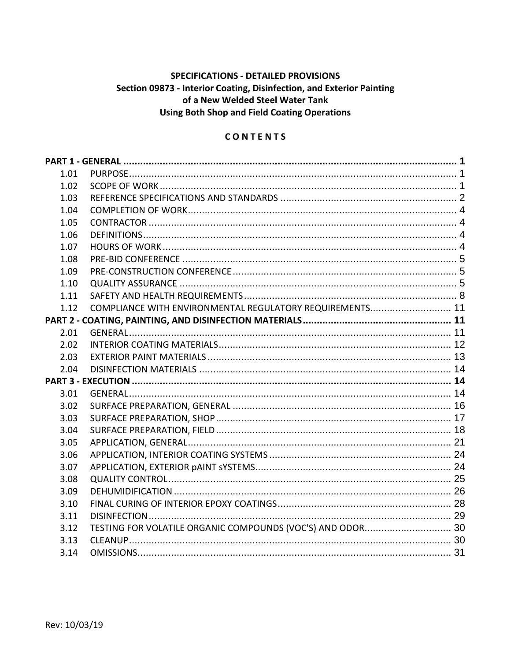# **SPECIFICATIONS - DETAILED PROVISIONS** Section 09873 - Interior Coating, Disinfection, and Exterior Painting of a New Welded Steel Water Tank **Using Both Shop and Field Coating Operations**

## **CONTENTS**

| 1.01 |                                                          |  |
|------|----------------------------------------------------------|--|
| 1.02 |                                                          |  |
| 1.03 |                                                          |  |
| 1.04 |                                                          |  |
| 1.05 |                                                          |  |
| 1.06 |                                                          |  |
| 1.07 |                                                          |  |
| 1.08 |                                                          |  |
| 1.09 |                                                          |  |
| 1.10 |                                                          |  |
| 1.11 |                                                          |  |
| 1.12 | COMPLIANCE WITH ENVIRONMENTAL REGULATORY REQUIREMENTS 11 |  |
|      |                                                          |  |
| 2.01 |                                                          |  |
| 2.02 |                                                          |  |
| 2.03 |                                                          |  |
| 2.04 |                                                          |  |
|      |                                                          |  |
| 3.01 |                                                          |  |
| 3.02 |                                                          |  |
| 3.03 |                                                          |  |
| 3.04 |                                                          |  |
| 3.05 |                                                          |  |
| 3.06 |                                                          |  |
| 3.07 |                                                          |  |
| 3.08 |                                                          |  |
| 3.09 |                                                          |  |
| 3.10 |                                                          |  |
| 3.11 |                                                          |  |
| 3.12 |                                                          |  |
| 3.13 |                                                          |  |
| 3.14 |                                                          |  |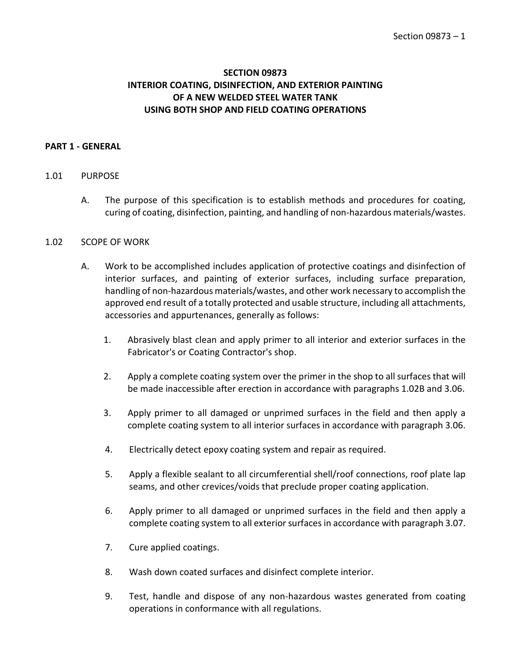## **SECTION 09873 INTERIOR COATING, DISINFECTION, AND EXTERIOR PAINTING OF A NEW WELDED STEEL WATER TANK USING BOTH SHOP AND FIELD COATING OPERATIONS**

## <span id="page-2-0"></span>**PART 1 - GENERAL**

#### <span id="page-2-1"></span>1.01 PURPOSE

A. The purpose of this specification is to establish methods and procedures for coating, curing of coating, disinfection, painting, and handling of non-hazardous materials/wastes.

#### <span id="page-2-2"></span>1.02 SCOPE OF WORK

- A. Work to be accomplished includes application of protective coatings and disinfection of interior surfaces, and painting of exterior surfaces, including surface preparation, handling of non-hazardous materials/wastes, and other work necessary to accomplish the approved end result of a totally protected and usable structure, including all attachments, accessories and appurtenances, generally as follows:
	- 1. Abrasively blast clean and apply primer to all interior and exterior surfaces in the Fabricator's or Coating Contractor's shop.
	- 2. Apply a complete coating system over the primer in the shop to all surfaces that will be made inaccessible after erection in accordance with paragraphs 1.02B and 3.06.
	- 3. Apply primer to all damaged or unprimed surfaces in the field and then apply a complete coating system to all interior surfaces in accordance with paragraph 3.06.
	- 4. Electrically detect epoxy coating system and repair as required.
	- 5. Apply a flexible sealant to all circumferential shell/roof connections, roof plate lap seams, and other crevices/voids that preclude proper coating application.
	- 6. Apply primer to all damaged or unprimed surfaces in the field and then apply a complete coating system to all exterior surfaces in accordance with paragraph 3.07.
	- 7. Cure applied coatings.
	- 8. Wash down coated surfaces and disinfect complete interior.
	- 9. Test, handle and dispose of any non-hazardous wastes generated from coating operations in conformance with all regulations.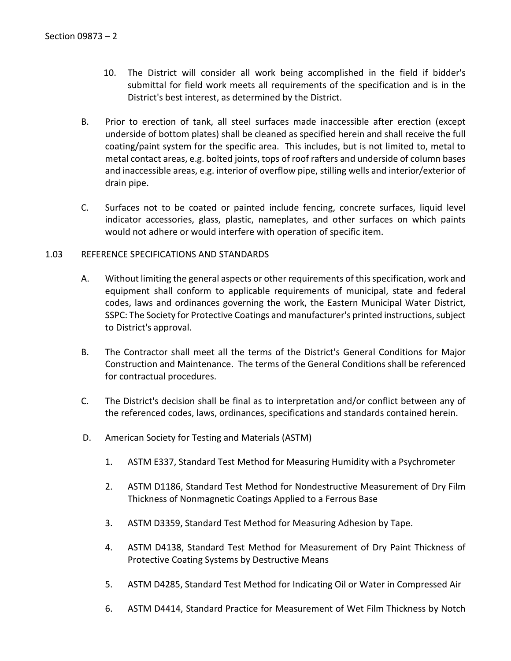- 10. The District will consider all work being accomplished in the field if bidder's submittal for field work meets all requirements of the specification and is in the District's best interest, as determined by the District.
- B. Prior to erection of tank, all steel surfaces made inaccessible after erection (except underside of bottom plates) shall be cleaned as specified herein and shall receive the full coating/paint system for the specific area. This includes, but is not limited to, metal to metal contact areas, e.g. bolted joints, tops of roof rafters and underside of column bases and inaccessible areas, e.g. interior of overflow pipe, stilling wells and interior/exterior of drain pipe.
- C. Surfaces not to be coated or painted include fencing, concrete surfaces, liquid level indicator accessories, glass, plastic, nameplates, and other surfaces on which paints would not adhere or would interfere with operation of specific item.

## <span id="page-3-0"></span>1.03 REFERENCE SPECIFICATIONS AND STANDARDS

- A. Without limiting the general aspects or other requirements of this specification, work and equipment shall conform to applicable requirements of municipal, state and federal codes, laws and ordinances governing the work, the Eastern Municipal Water District, SSPC: The Society for Protective Coatings and manufacturer's printed instructions, subject to District's approval.
- B. The Contractor shall meet all the terms of the District's General Conditions for Major Construction and Maintenance. The terms of the General Conditions shall be referenced for contractual procedures.
- C. The District's decision shall be final as to interpretation and/or conflict between any of the referenced codes, laws, ordinances, specifications and standards contained herein.
- D. American Society for Testing and Materials (ASTM)
	- 1. ASTM E337, Standard Test Method for Measuring Humidity with a Psychrometer
	- 2. ASTM D1186, Standard Test Method for Nondestructive Measurement of Dry Film Thickness of Nonmagnetic Coatings Applied to a Ferrous Base
	- 3. ASTM D3359, Standard Test Method for Measuring Adhesion by Tape.
	- 4. ASTM D4138, Standard Test Method for Measurement of Dry Paint Thickness of Protective Coating Systems by Destructive Means
	- 5. ASTM D4285, Standard Test Method for Indicating Oil or Water in Compressed Air
	- 6. ASTM D4414, Standard Practice for Measurement of Wet Film Thickness by Notch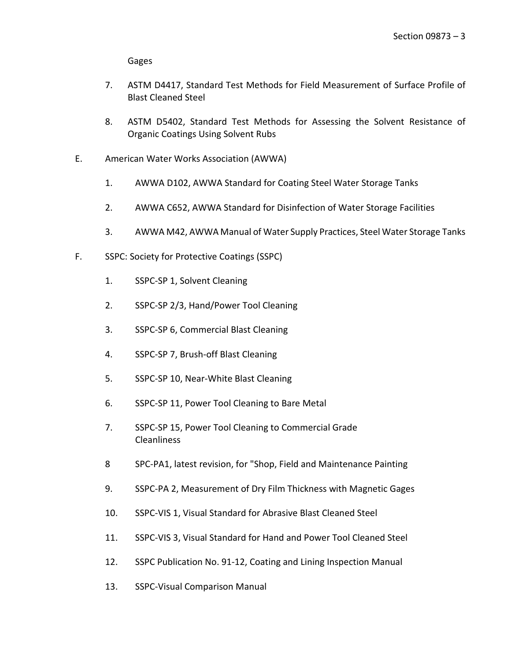Gages

- 7. ASTM D4417, Standard Test Methods for Field Measurement of Surface Profile of Blast Cleaned Steel
- 8. ASTM D5402, Standard Test Methods for Assessing the Solvent Resistance of Organic Coatings Using Solvent Rubs
- E. American Water Works Association (AWWA)
	- 1. AWWA D102, AWWA Standard for Coating Steel Water Storage Tanks
	- 2. AWWA C652, AWWA Standard for Disinfection of Water Storage Facilities
	- 3. AWWA M42, AWWA Manual of Water Supply Practices, Steel Water Storage Tanks
- F. SSPC: Society for Protective Coatings (SSPC)
	- 1. SSPC-SP 1, Solvent Cleaning
	- 2. SSPC-SP 2/3, Hand/Power Tool Cleaning
	- 3. SSPC-SP 6, Commercial Blast Cleaning
	- 4. SSPC-SP 7, Brush-off Blast Cleaning
	- 5. SSPC-SP 10, Near-White Blast Cleaning
	- 6. SSPC-SP 11, Power Tool Cleaning to Bare Metal
	- 7. SSPC-SP 15, Power Tool Cleaning to Commercial Grade Cleanliness
	- 8 SPC-PA1, latest revision, for "Shop, Field and Maintenance Painting
	- 9. SSPC-PA 2, Measurement of Dry Film Thickness with Magnetic Gages
	- 10. SSPC-VIS 1, Visual Standard for Abrasive Blast Cleaned Steel
	- 11. SSPC-VIS 3, Visual Standard for Hand and Power Tool Cleaned Steel
	- 12. SSPC Publication No. 91-12, Coating and Lining Inspection Manual
	- 13. SSPC-Visual Comparison Manual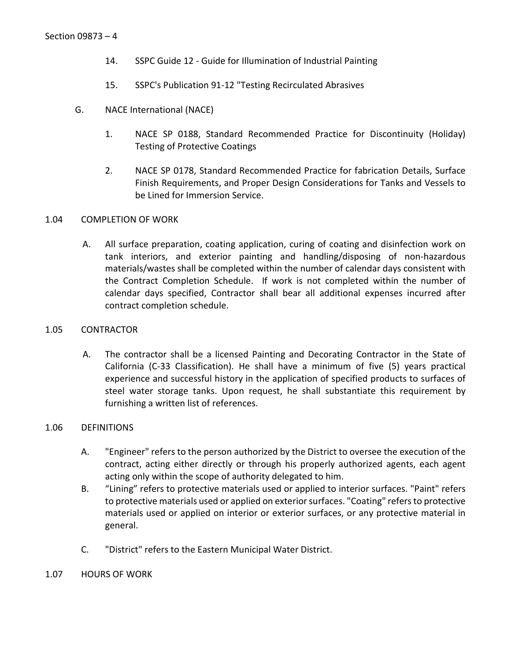- 14. SSPC Guide 12 Guide for Illumination of Industrial Painting
- 15. SSPC's Publication 91-12 "Testing Recirculated Abrasives
- G. NACE International (NACE)
	- 1. NACE SP 0188, Standard Recommended Practice for Discontinuity (Holiday) Testing of Protective Coatings
	- 2. NACE SP 0178, Standard Recommended Practice for fabrication Details, Surface Finish Requirements, and Proper Design Considerations for Tanks and Vessels to be Lined for Immersion Service.

## <span id="page-5-0"></span>1.04 COMPLETION OF WORK

A. All surface preparation, coating application, curing of coating and disinfection work on tank interiors, and exterior painting and handling/disposing of non-hazardous materials/wastes shall be completed within the number of calendar days consistent with the Contract Completion Schedule. If work is not completed within the number of calendar days specified, Contractor shall bear all additional expenses incurred after contract completion schedule.

#### <span id="page-5-1"></span>1.05 CONTRACTOR

A. The contractor shall be a licensed Painting and Decorating Contractor in the State of California (C-33 Classification). He shall have a minimum of five (5) years practical experience and successful history in the application of specified products to surfaces of steel water storage tanks. Upon request, he shall substantiate this requirement by furnishing a written list of references.

## <span id="page-5-2"></span>1.06 DEFINITIONS

- A. "Engineer" refers to the person authorized by the District to oversee the execution of the contract, acting either directly or through his properly authorized agents, each agent acting only within the scope of authority delegated to him.
- B. "Lining" refers to protective materials used or applied to interior surfaces. "Paint" refers to protective materials used or applied on exterior surfaces. "Coating" refers to protective materials used or applied on interior or exterior surfaces, or any protective material in general.
- C. "District" refers to the Eastern Municipal Water District.
- <span id="page-5-3"></span>1.07 HOURS OF WORK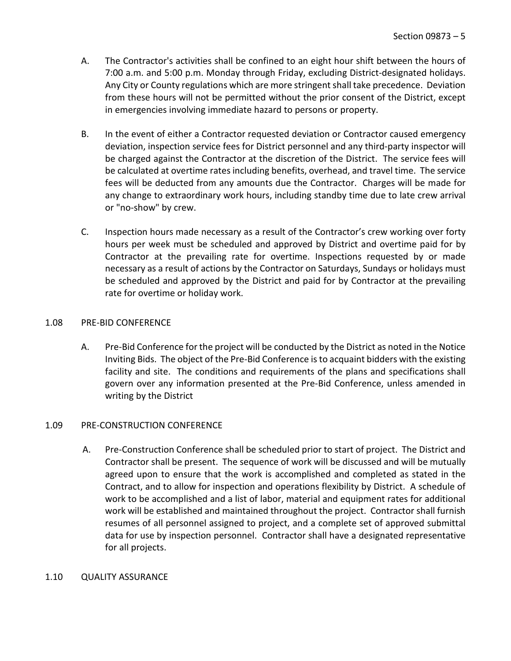- A. The Contractor's activities shall be confined to an eight hour shift between the hours of 7:00 a.m. and 5:00 p.m. Monday through Friday, excluding District-designated holidays. Any City or County regulations which are more stringent shall take precedence. Deviation from these hours will not be permitted without the prior consent of the District, except in emergencies involving immediate hazard to persons or property.
- B. In the event of either a Contractor requested deviation or Contractor caused emergency deviation, inspection service fees for District personnel and any third-party inspector will be charged against the Contractor at the discretion of the District. The service fees will be calculated at overtime rates including benefits, overhead, and travel time. The service fees will be deducted from any amounts due the Contractor. Charges will be made for any change to extraordinary work hours, including standby time due to late crew arrival or "no-show" by crew.
- C. Inspection hours made necessary as a result of the Contractor's crew working over forty hours per week must be scheduled and approved by District and overtime paid for by Contractor at the prevailing rate for overtime. Inspections requested by or made necessary as a result of actions by the Contractor on Saturdays, Sundays or holidays must be scheduled and approved by the District and paid for by Contractor at the prevailing rate for overtime or holiday work.

## <span id="page-6-0"></span>1.08 PRE-BID CONFERENCE

A. Pre-Bid Conference for the project will be conducted by the District as noted in the Notice Inviting Bids. The object of the Pre-Bid Conference is to acquaint bidders with the existing facility and site. The conditions and requirements of the plans and specifications shall govern over any information presented at the Pre-Bid Conference, unless amended in writing by the District

## <span id="page-6-1"></span>1.09 PRE-CONSTRUCTION CONFERENCE

A. Pre-Construction Conference shall be scheduled prior to start of project. The District and Contractor shall be present. The sequence of work will be discussed and will be mutually agreed upon to ensure that the work is accomplished and completed as stated in the Contract, and to allow for inspection and operations flexibility by District. A schedule of work to be accomplished and a list of labor, material and equipment rates for additional work will be established and maintained throughout the project. Contractor shall furnish resumes of all personnel assigned to project, and a complete set of approved submittal data for use by inspection personnel. Contractor shall have a designated representative for all projects.

## <span id="page-6-2"></span>1.10 QUALITY ASSURANCE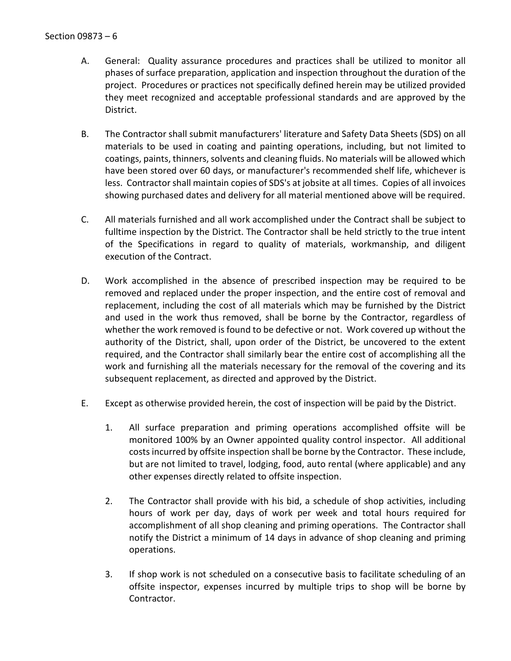- A. General: Quality assurance procedures and practices shall be utilized to monitor all phases of surface preparation, application and inspection throughout the duration of the project. Procedures or practices not specifically defined herein may be utilized provided they meet recognized and acceptable professional standards and are approved by the District.
- B. The Contractor shall submit manufacturers' literature and Safety Data Sheets (SDS) on all materials to be used in coating and painting operations, including, but not limited to coatings, paints, thinners, solvents and cleaning fluids. No materials will be allowed which have been stored over 60 days, or manufacturer's recommended shelf life, whichever is less. Contractor shall maintain copies of SDS's at jobsite at all times. Copies of all invoices showing purchased dates and delivery for all material mentioned above will be required.
- C. All materials furnished and all work accomplished under the Contract shall be subject to fulltime inspection by the District. The Contractor shall be held strictly to the true intent of the Specifications in regard to quality of materials, workmanship, and diligent execution of the Contract.
- D. Work accomplished in the absence of prescribed inspection may be required to be removed and replaced under the proper inspection, and the entire cost of removal and replacement, including the cost of all materials which may be furnished by the District and used in the work thus removed, shall be borne by the Contractor, regardless of whether the work removed is found to be defective or not. Work covered up without the authority of the District, shall, upon order of the District, be uncovered to the extent required, and the Contractor shall similarly bear the entire cost of accomplishing all the work and furnishing all the materials necessary for the removal of the covering and its subsequent replacement, as directed and approved by the District.
- E. Except as otherwise provided herein, the cost of inspection will be paid by the District.
	- 1. All surface preparation and priming operations accomplished offsite will be monitored 100% by an Owner appointed quality control inspector. All additional costs incurred by offsite inspection shall be borne by the Contractor. These include, but are not limited to travel, lodging, food, auto rental (where applicable) and any other expenses directly related to offsite inspection.
	- 2. The Contractor shall provide with his bid, a schedule of shop activities, including hours of work per day, days of work per week and total hours required for accomplishment of all shop cleaning and priming operations. The Contractor shall notify the District a minimum of 14 days in advance of shop cleaning and priming operations.
	- 3. If shop work is not scheduled on a consecutive basis to facilitate scheduling of an offsite inspector, expenses incurred by multiple trips to shop will be borne by Contractor.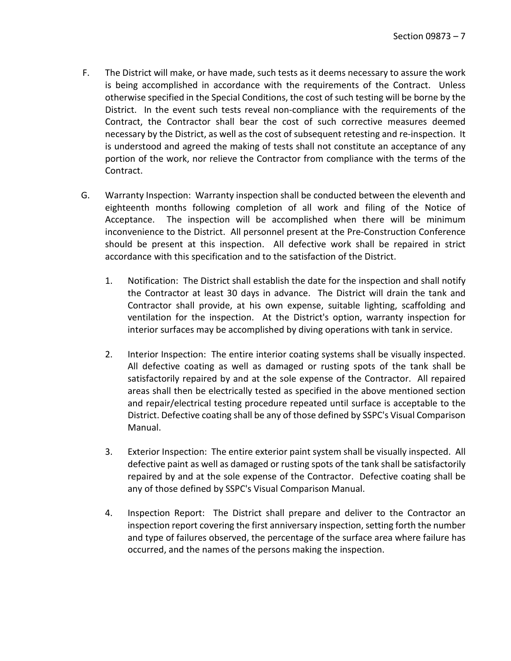- F. The District will make, or have made, such tests as it deems necessary to assure the work is being accomplished in accordance with the requirements of the Contract. Unless otherwise specified in the Special Conditions, the cost of such testing will be borne by the District. In the event such tests reveal non-compliance with the requirements of the Contract, the Contractor shall bear the cost of such corrective measures deemed necessary by the District, as well as the cost of subsequent retesting and re-inspection. It is understood and agreed the making of tests shall not constitute an acceptance of any portion of the work, nor relieve the Contractor from compliance with the terms of the Contract.
- G. Warranty Inspection: Warranty inspection shall be conducted between the eleventh and eighteenth months following completion of all work and filing of the Notice of Acceptance. The inspection will be accomplished when there will be minimum inconvenience to the District. All personnel present at the Pre-Construction Conference should be present at this inspection. All defective work shall be repaired in strict accordance with this specification and to the satisfaction of the District.
	- 1. Notification: The District shall establish the date for the inspection and shall notify the Contractor at least 30 days in advance. The District will drain the tank and Contractor shall provide, at his own expense, suitable lighting, scaffolding and ventilation for the inspection. At the District's option, warranty inspection for interior surfaces may be accomplished by diving operations with tank in service.
	- 2. Interior Inspection: The entire interior coating systems shall be visually inspected. All defective coating as well as damaged or rusting spots of the tank shall be satisfactorily repaired by and at the sole expense of the Contractor. All repaired areas shall then be electrically tested as specified in the above mentioned section and repair/electrical testing procedure repeated until surface is acceptable to the District. Defective coating shall be any of those defined by SSPC's Visual Comparison Manual.
	- 3. Exterior Inspection: The entire exterior paint system shall be visually inspected. All defective paint as well as damaged or rusting spots of the tank shall be satisfactorily repaired by and at the sole expense of the Contractor. Defective coating shall be any of those defined by SSPC's Visual Comparison Manual.
	- 4. Inspection Report: The District shall prepare and deliver to the Contractor an inspection report covering the first anniversary inspection, setting forth the number and type of failures observed, the percentage of the surface area where failure has occurred, and the names of the persons making the inspection.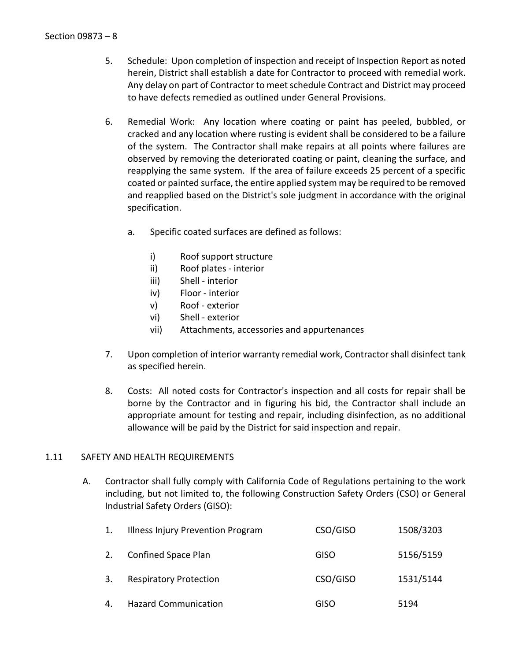- 5. Schedule: Upon completion of inspection and receipt of Inspection Report as noted herein, District shall establish a date for Contractor to proceed with remedial work. Any delay on part of Contractor to meet schedule Contract and District may proceed to have defects remedied as outlined under General Provisions.
- 6. Remedial Work: Any location where coating or paint has peeled, bubbled, or cracked and any location where rusting is evident shall be considered to be a failure of the system. The Contractor shall make repairs at all points where failures are observed by removing the deteriorated coating or paint, cleaning the surface, and reapplying the same system. If the area of failure exceeds 25 percent of a specific coated or painted surface, the entire applied system may be required to be removed and reapplied based on the District's sole judgment in accordance with the original specification.
	- a. Specific coated surfaces are defined as follows:
		- i) Roof support structure
		- ii) Roof plates interior
		- iii) Shell interior
		- iv) Floor interior
		- v) Roof exterior
		- vi) Shell exterior
		- vii) Attachments, accessories and appurtenances
- 7. Upon completion of interior warranty remedial work, Contractor shall disinfect tank as specified herein.
- 8. Costs: All noted costs for Contractor's inspection and all costs for repair shall be borne by the Contractor and in figuring his bid, the Contractor shall include an appropriate amount for testing and repair, including disinfection, as no additional allowance will be paid by the District for said inspection and repair.

## <span id="page-9-0"></span>1.11 SAFETY AND HEALTH REQUIREMENTS

A. Contractor shall fully comply with California Code of Regulations pertaining to the work including, but not limited to, the following Construction Safety Orders (CSO) or General Industrial Safety Orders (GISO):

| 1. | Illness Injury Prevention Program | CSO/GISO    | 1508/3203 |
|----|-----------------------------------|-------------|-----------|
| 2. | Confined Space Plan               | <b>GISO</b> | 5156/5159 |
| 3. | <b>Respiratory Protection</b>     | CSO/GISO    | 1531/5144 |
| 4. | <b>Hazard Communication</b>       | GISO        | 5194      |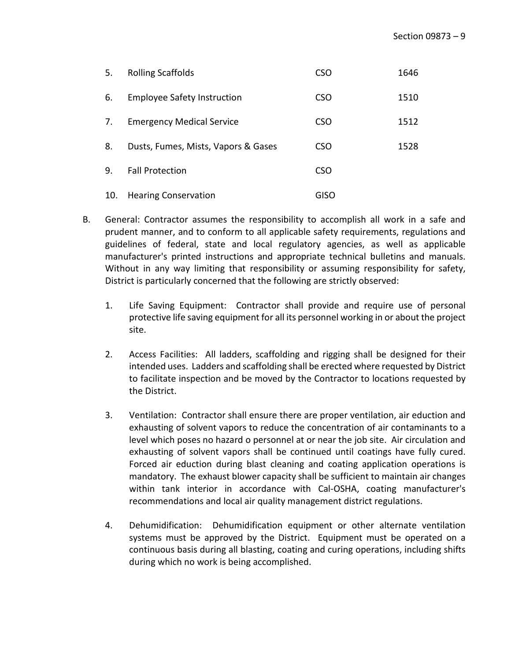| 5.  | <b>Rolling Scaffolds</b>            | <b>CSO</b>  | 1646 |
|-----|-------------------------------------|-------------|------|
| 6.  | <b>Employee Safety Instruction</b>  | <b>CSO</b>  | 1510 |
| 7.  | <b>Emergency Medical Service</b>    | <b>CSO</b>  | 1512 |
| 8.  | Dusts, Fumes, Mists, Vapors & Gases | <b>CSO</b>  | 1528 |
| 9.  | <b>Fall Protection</b>              | <b>CSO</b>  |      |
| 10. | <b>Hearing Conservation</b>         | <b>GISO</b> |      |

- B. General: Contractor assumes the responsibility to accomplish all work in a safe and prudent manner, and to conform to all applicable safety requirements, regulations and guidelines of federal, state and local regulatory agencies, as well as applicable manufacturer's printed instructions and appropriate technical bulletins and manuals. Without in any way limiting that responsibility or assuming responsibility for safety, District is particularly concerned that the following are strictly observed:
	- 1. Life Saving Equipment: Contractor shall provide and require use of personal protective life saving equipment for all its personnel working in or about the project site.
	- 2. Access Facilities: All ladders, scaffolding and rigging shall be designed for their intended uses. Ladders and scaffolding shall be erected where requested by District to facilitate inspection and be moved by the Contractor to locations requested by the District.
	- 3. Ventilation: Contractor shall ensure there are proper ventilation, air eduction and exhausting of solvent vapors to reduce the concentration of air contaminants to a level which poses no hazard o personnel at or near the job site. Air circulation and exhausting of solvent vapors shall be continued until coatings have fully cured. Forced air eduction during blast cleaning and coating application operations is mandatory. The exhaust blower capacity shall be sufficient to maintain air changes within tank interior in accordance with Cal-OSHA, coating manufacturer's recommendations and local air quality management district regulations.
	- 4. Dehumidification: Dehumidification equipment or other alternate ventilation systems must be approved by the District. Equipment must be operated on a continuous basis during all blasting, coating and curing operations, including shifts during which no work is being accomplished.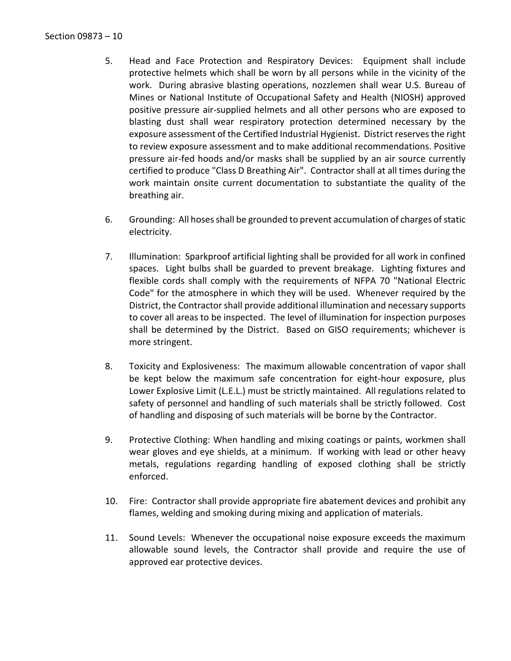- 5. Head and Face Protection and Respiratory Devices: Equipment shall include protective helmets which shall be worn by all persons while in the vicinity of the work. During abrasive blasting operations, nozzlemen shall wear U.S. Bureau of Mines or National Institute of Occupational Safety and Health (NIOSH) approved positive pressure air-supplied helmets and all other persons who are exposed to blasting dust shall wear respiratory protection determined necessary by the exposure assessment of the Certified Industrial Hygienist. District reserves the right to review exposure assessment and to make additional recommendations. Positive pressure air-fed hoods and/or masks shall be supplied by an air source currently certified to produce "Class D Breathing Air". Contractor shall at all times during the work maintain onsite current documentation to substantiate the quality of the breathing air.
- 6. Grounding: All hoses shall be grounded to prevent accumulation of charges of static electricity.
- 7. Illumination: Sparkproof artificial lighting shall be provided for all work in confined spaces. Light bulbs shall be guarded to prevent breakage. Lighting fixtures and flexible cords shall comply with the requirements of NFPA 70 "National Electric Code" for the atmosphere in which they will be used. Whenever required by the District, the Contractor shall provide additional illumination and necessary supports to cover all areas to be inspected. The level of illumination for inspection purposes shall be determined by the District. Based on GISO requirements; whichever is more stringent.
- 8. Toxicity and Explosiveness: The maximum allowable concentration of vapor shall be kept below the maximum safe concentration for eight-hour exposure, plus Lower Explosive Limit (L.E.L.) must be strictly maintained. All regulations related to safety of personnel and handling of such materials shall be strictly followed. Cost of handling and disposing of such materials will be borne by the Contractor.
- 9. Protective Clothing: When handling and mixing coatings or paints, workmen shall wear gloves and eye shields, at a minimum. If working with lead or other heavy metals, regulations regarding handling of exposed clothing shall be strictly enforced.
- 10. Fire: Contractor shall provide appropriate fire abatement devices and prohibit any flames, welding and smoking during mixing and application of materials.
- 11. Sound Levels: Whenever the occupational noise exposure exceeds the maximum allowable sound levels, the Contractor shall provide and require the use of approved ear protective devices.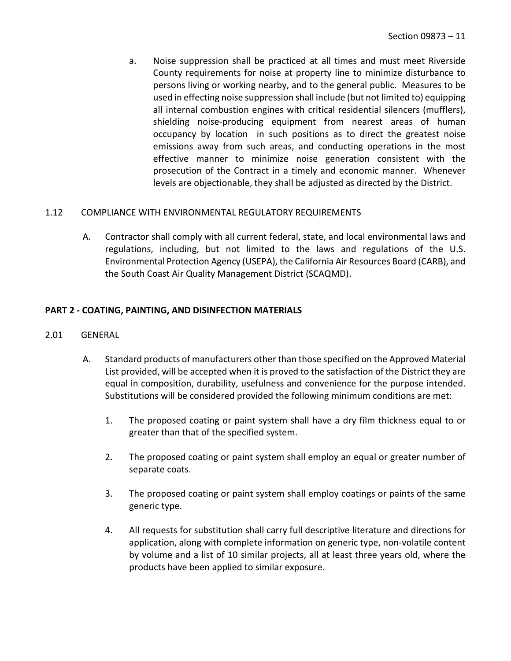a. Noise suppression shall be practiced at all times and must meet Riverside County requirements for noise at property line to minimize disturbance to persons living or working nearby, and to the general public. Measures to be used in effecting noise suppression shall include (but not limited to) equipping all internal combustion engines with critical residential silencers (mufflers), shielding noise-producing equipment from nearest areas of human occupancy by location in such positions as to direct the greatest noise emissions away from such areas, and conducting operations in the most effective manner to minimize noise generation consistent with the prosecution of the Contract in a timely and economic manner. Whenever levels are objectionable, they shall be adjusted as directed by the District.

## <span id="page-12-0"></span>1.12 COMPLIANCE WITH ENVIRONMENTAL REGULATORY REQUIREMENTS

A. Contractor shall comply with all current federal, state, and local environmental laws and regulations, including, but not limited to the laws and regulations of the U.S. Environmental Protection Agency (USEPA), the California Air Resources Board (CARB), and the South Coast Air Quality Management District (SCAQMD).

## <span id="page-12-1"></span>**PART 2 - COATING, PAINTING, AND DISINFECTION MATERIALS**

## <span id="page-12-2"></span>2.01 GENERAL

- A. Standard products of manufacturers other than those specified on the Approved Material List provided, will be accepted when it is proved to the satisfaction of the District they are equal in composition, durability, usefulness and convenience for the purpose intended. Substitutions will be considered provided the following minimum conditions are met:
	- 1. The proposed coating or paint system shall have a dry film thickness equal to or greater than that of the specified system.
	- 2. The proposed coating or paint system shall employ an equal or greater number of separate coats.
	- 3. The proposed coating or paint system shall employ coatings or paints of the same generic type.
	- 4. All requests for substitution shall carry full descriptive literature and directions for application, along with complete information on generic type, non-volatile content by volume and a list of 10 similar projects, all at least three years old, where the products have been applied to similar exposure.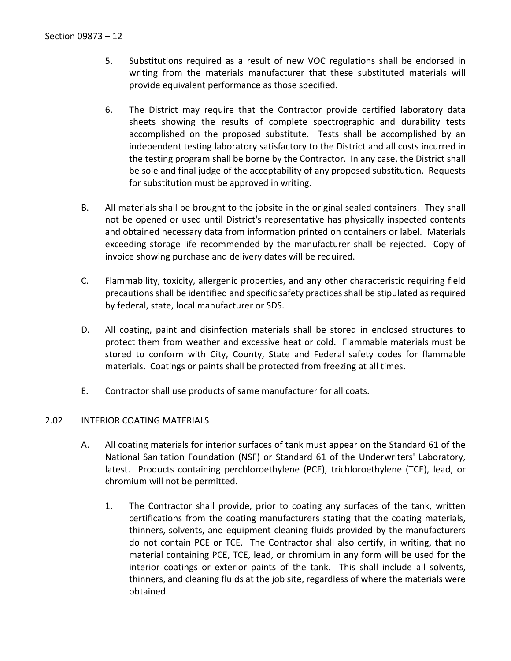- 5. Substitutions required as a result of new VOC regulations shall be endorsed in writing from the materials manufacturer that these substituted materials will provide equivalent performance as those specified.
- 6. The District may require that the Contractor provide certified laboratory data sheets showing the results of complete spectrographic and durability tests accomplished on the proposed substitute. Tests shall be accomplished by an independent testing laboratory satisfactory to the District and all costs incurred in the testing program shall be borne by the Contractor. In any case, the District shall be sole and final judge of the acceptability of any proposed substitution. Requests for substitution must be approved in writing.
- B. All materials shall be brought to the jobsite in the original sealed containers. They shall not be opened or used until District's representative has physically inspected contents and obtained necessary data from information printed on containers or label. Materials exceeding storage life recommended by the manufacturer shall be rejected. Copy of invoice showing purchase and delivery dates will be required.
- C. Flammability, toxicity, allergenic properties, and any other characteristic requiring field precautions shall be identified and specific safety practices shall be stipulated as required by federal, state, local manufacturer or SDS.
- D. All coating, paint and disinfection materials shall be stored in enclosed structures to protect them from weather and excessive heat or cold. Flammable materials must be stored to conform with City, County, State and Federal safety codes for flammable materials. Coatings or paints shall be protected from freezing at all times.
- E. Contractor shall use products of same manufacturer for all coats.

## <span id="page-13-0"></span>2.02 INTERIOR COATING MATERIALS

- A. All coating materials for interior surfaces of tank must appear on the Standard 61 of the National Sanitation Foundation (NSF) or Standard 61 of the Underwriters' Laboratory, latest. Products containing perchloroethylene (PCE), trichloroethylene (TCE), lead, or chromium will not be permitted.
	- 1. The Contractor shall provide, prior to coating any surfaces of the tank, written certifications from the coating manufacturers stating that the coating materials, thinners, solvents, and equipment cleaning fluids provided by the manufacturers do not contain PCE or TCE. The Contractor shall also certify, in writing, that no material containing PCE, TCE, lead, or chromium in any form will be used for the interior coatings or exterior paints of the tank. This shall include all solvents, thinners, and cleaning fluids at the job site, regardless of where the materials were obtained.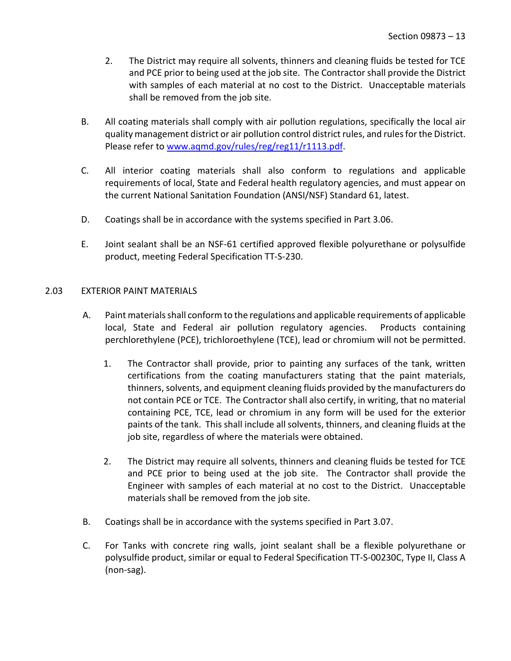- 2. The District may require all solvents, thinners and cleaning fluids be tested for TCE and PCE prior to being used at the job site. The Contractor shall provide the District with samples of each material at no cost to the District. Unacceptable materials shall be removed from the job site.
- B. All coating materials shall comply with air pollution regulations, specifically the local air quality management district or air pollution control district rules, and rules for the District. Please refer to [www.aqmd.gov/rules/reg/reg11/r1113.pdf.](http://www.aqmd.gov/rules/reg/reg11/r1113.pdf)
- C. All interior coating materials shall also conform to regulations and applicable requirements of local, State and Federal health regulatory agencies, and must appear on the current National Sanitation Foundation (ANSI/NSF) Standard 61, latest.
- D. Coatings shall be in accordance with the systems specified in Part 3.06.
- E. Joint sealant shall be an NSF-61 certified approved flexible polyurethane or polysulfide product, meeting Federal Specification TT-S-230.

## <span id="page-14-0"></span>2.03 EXTERIOR PAINT MATERIALS

- A. Paint materials shall conform to the regulations and applicable requirements of applicable local, State and Federal air pollution regulatory agencies. Products containing perchlorethylene (PCE), trichloroethylene (TCE), lead or chromium will not be permitted.
	- 1. The Contractor shall provide, prior to painting any surfaces of the tank, written certifications from the coating manufacturers stating that the paint materials, thinners, solvents, and equipment cleaning fluids provided by the manufacturers do not contain PCE or TCE. The Contractor shall also certify, in writing, that no material containing PCE, TCE, lead or chromium in any form will be used for the exterior paints of the tank. This shall include all solvents, thinners, and cleaning fluids at the job site, regardless of where the materials were obtained.
	- 2. The District may require all solvents, thinners and cleaning fluids be tested for TCE and PCE prior to being used at the job site. The Contractor shall provide the Engineer with samples of each material at no cost to the District. Unacceptable materials shall be removed from the job site.
- B. Coatings shall be in accordance with the systems specified in Part 3.07.
- C. For Tanks with concrete ring walls, joint sealant shall be a flexible polyurethane or polysulfide product, similar or equal to Federal Specification TT-S-00230C, Type II, Class A (non-sag).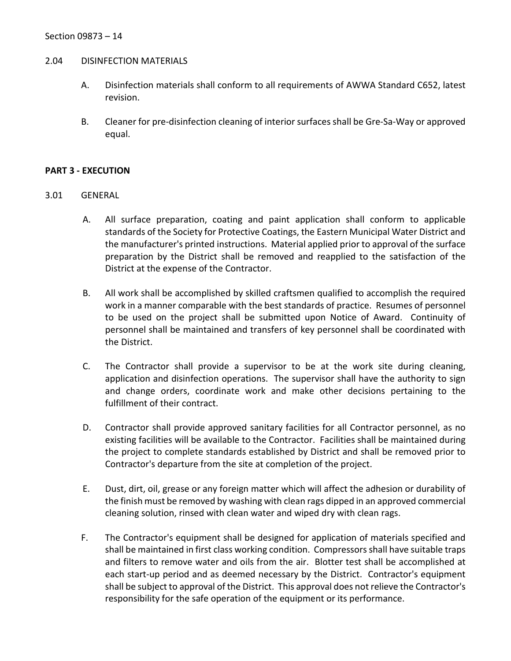#### <span id="page-15-0"></span>2.04 DISINFECTION MATERIALS

- A. Disinfection materials shall conform to all requirements of AWWA Standard C652, latest revision.
- B. Cleaner for pre-disinfection cleaning of interior surfaces shall be Gre-Sa-Way or approved equal.

#### <span id="page-15-1"></span>**PART 3 - EXECUTION**

- <span id="page-15-2"></span>3.01 GENERAL
	- A. All surface preparation, coating and paint application shall conform to applicable standards of the Society for Protective Coatings, the Eastern Municipal Water District and the manufacturer's printed instructions. Material applied prior to approval of the surface preparation by the District shall be removed and reapplied to the satisfaction of the District at the expense of the Contractor.
	- B. All work shall be accomplished by skilled craftsmen qualified to accomplish the required work in a manner comparable with the best standards of practice. Resumes of personnel to be used on the project shall be submitted upon Notice of Award. Continuity of personnel shall be maintained and transfers of key personnel shall be coordinated with the District.
	- C. The Contractor shall provide a supervisor to be at the work site during cleaning, application and disinfection operations. The supervisor shall have the authority to sign and change orders, coordinate work and make other decisions pertaining to the fulfillment of their contract.
	- D. Contractor shall provide approved sanitary facilities for all Contractor personnel, as no existing facilities will be available to the Contractor. Facilities shall be maintained during the project to complete standards established by District and shall be removed prior to Contractor's departure from the site at completion of the project.
	- E. Dust, dirt, oil, grease or any foreign matter which will affect the adhesion or durability of the finish must be removed by washing with clean rags dipped in an approved commercial cleaning solution, rinsed with clean water and wiped dry with clean rags.
	- F. The Contractor's equipment shall be designed for application of materials specified and shall be maintained in first class working condition. Compressors shall have suitable traps and filters to remove water and oils from the air. Blotter test shall be accomplished at each start-up period and as deemed necessary by the District. Contractor's equipment shall be subject to approval of the District. This approval does not relieve the Contractor's responsibility for the safe operation of the equipment or its performance.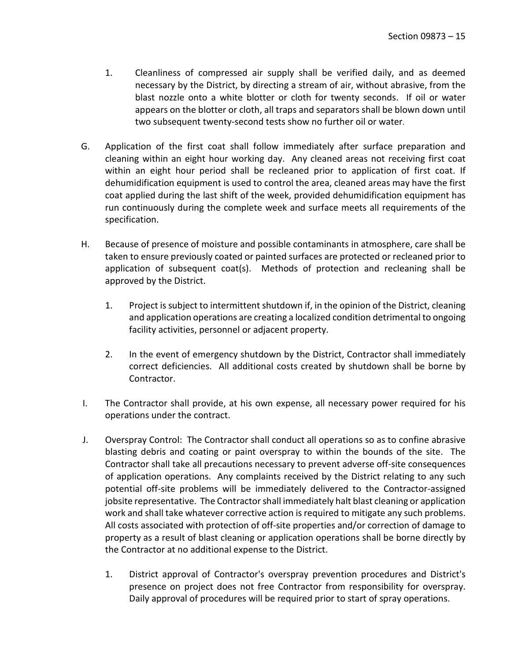- 1. Cleanliness of compressed air supply shall be verified daily, and as deemed necessary by the District, by directing a stream of air, without abrasive, from the blast nozzle onto a white blotter or cloth for twenty seconds. If oil or water appears on the blotter or cloth, all traps and separators shall be blown down until two subsequent twenty-second tests show no further oil or water.
- G. Application of the first coat shall follow immediately after surface preparation and cleaning within an eight hour working day. Any cleaned areas not receiving first coat within an eight hour period shall be recleaned prior to application of first coat. If dehumidification equipment is used to control the area, cleaned areas may have the first coat applied during the last shift of the week, provided dehumidification equipment has run continuously during the complete week and surface meets all requirements of the specification.
- H. Because of presence of moisture and possible contaminants in atmosphere, care shall be taken to ensure previously coated or painted surfaces are protected or recleaned prior to application of subsequent coat(s). Methods of protection and recleaning shall be approved by the District.
	- 1. Project is subject to intermittent shutdown if, in the opinion of the District, cleaning and application operations are creating a localized condition detrimental to ongoing facility activities, personnel or adjacent property.
	- 2. In the event of emergency shutdown by the District, Contractor shall immediately correct deficiencies. All additional costs created by shutdown shall be borne by Contractor.
- I. The Contractor shall provide, at his own expense, all necessary power required for his operations under the contract.
- J. Overspray Control: The Contractor shall conduct all operations so as to confine abrasive blasting debris and coating or paint overspray to within the bounds of the site. The Contractor shall take all precautions necessary to prevent adverse off-site consequences of application operations. Any complaints received by the District relating to any such potential off-site problems will be immediately delivered to the Contractor-assigned jobsite representative. The Contractor shall immediately halt blast cleaning or application work and shall take whatever corrective action is required to mitigate any such problems. All costs associated with protection of off-site properties and/or correction of damage to property as a result of blast cleaning or application operations shall be borne directly by the Contractor at no additional expense to the District.
	- 1. District approval of Contractor's overspray prevention procedures and District's presence on project does not free Contractor from responsibility for overspray. Daily approval of procedures will be required prior to start of spray operations.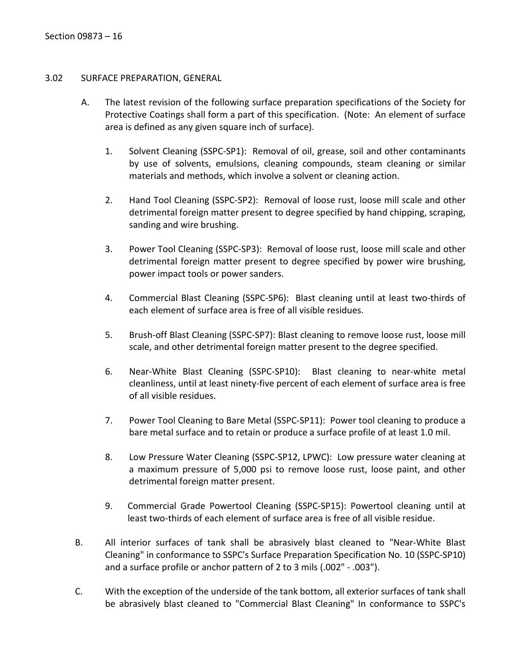## <span id="page-17-0"></span>3.02 SURFACE PREPARATION, GENERAL

- A. The latest revision of the following surface preparation specifications of the Society for Protective Coatings shall form a part of this specification. (Note: An element of surface area is defined as any given square inch of surface).
	- 1. Solvent Cleaning (SSPC-SP1): Removal of oil, grease, soil and other contaminants by use of solvents, emulsions, cleaning compounds, steam cleaning or similar materials and methods, which involve a solvent or cleaning action.
	- 2. Hand Tool Cleaning (SSPC-SP2): Removal of loose rust, loose mill scale and other detrimental foreign matter present to degree specified by hand chipping, scraping, sanding and wire brushing.
	- 3. Power Tool Cleaning (SSPC-SP3): Removal of loose rust, loose mill scale and other detrimental foreign matter present to degree specified by power wire brushing, power impact tools or power sanders.
	- 4. Commercial Blast Cleaning (SSPC-SP6): Blast cleaning until at least two-thirds of each element of surface area is free of all visible residues.
	- 5. Brush-off Blast Cleaning (SSPC-SP7): Blast cleaning to remove loose rust, loose mill scale, and other detrimental foreign matter present to the degree specified.
	- 6. Near-White Blast Cleaning (SSPC-SP10): Blast cleaning to near-white metal cleanliness, until at least ninety-five percent of each element of surface area is free of all visible residues.
	- 7. Power Tool Cleaning to Bare Metal (SSPC-SP11): Power tool cleaning to produce a bare metal surface and to retain or produce a surface profile of at least 1.0 mil.
	- 8. Low Pressure Water Cleaning (SSPC-SP12, LPWC): Low pressure water cleaning at a maximum pressure of 5,000 psi to remove loose rust, loose paint, and other detrimental foreign matter present.
	- 9. Commercial Grade Powertool Cleaning (SSPC-SP15): Powertool cleaning until at least two-thirds of each element of surface area is free of all visible residue.
- B. All interior surfaces of tank shall be abrasively blast cleaned to "Near-White Blast Cleaning" in conformance to SSPC's Surface Preparation Specification No. 10 (SSPC-SP10) and a surface profile or anchor pattern of 2 to 3 mils (.002" - .003").
- C. With the exception of the underside of the tank bottom, all exterior surfaces of tank shall be abrasively blast cleaned to "Commercial Blast Cleaning" In conformance to SSPC's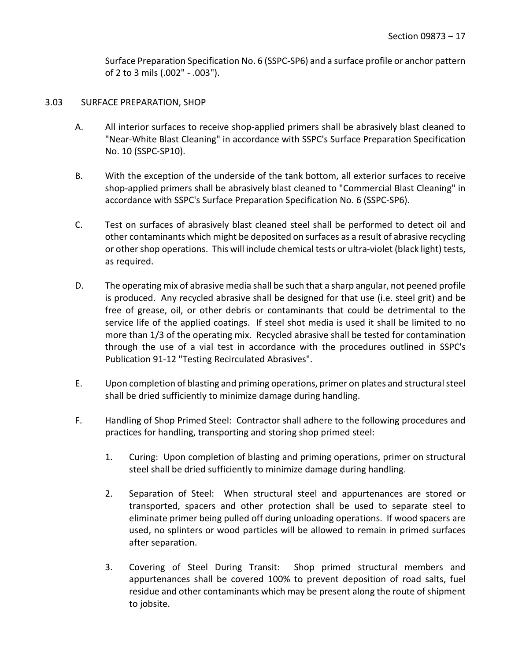Surface Preparation Specification No. 6 (SSPC-SP6) and a surface profile or anchor pattern of 2 to 3 mils (.002" - .003").

### <span id="page-18-0"></span>3.03 SURFACE PREPARATION, SHOP

- A. All interior surfaces to receive shop-applied primers shall be abrasively blast cleaned to "Near-White Blast Cleaning" in accordance with SSPC's Surface Preparation Specification No. 10 (SSPC-SP10).
- B. With the exception of the underside of the tank bottom, all exterior surfaces to receive shop-applied primers shall be abrasively blast cleaned to "Commercial Blast Cleaning" in accordance with SSPC's Surface Preparation Specification No. 6 (SSPC-SP6).
- C. Test on surfaces of abrasively blast cleaned steel shall be performed to detect oil and other contaminants which might be deposited on surfaces as a result of abrasive recycling or other shop operations. This will include chemical tests or ultra-violet (black light) tests, as required.
- D. The operating mix of abrasive media shall be such that a sharp angular, not peened profile is produced. Any recycled abrasive shall be designed for that use (i.e. steel grit) and be free of grease, oil, or other debris or contaminants that could be detrimental to the service life of the applied coatings. If steel shot media is used it shall be limited to no more than 1/3 of the operating mix. Recycled abrasive shall be tested for contamination through the use of a vial test in accordance with the procedures outlined in SSPC's Publication 91-12 "Testing Recirculated Abrasives".
- E. Upon completion of blasting and priming operations, primer on plates and structural steel shall be dried sufficiently to minimize damage during handling.
- F. Handling of Shop Primed Steel: Contractor shall adhere to the following procedures and practices for handling, transporting and storing shop primed steel:
	- 1. Curing: Upon completion of blasting and priming operations, primer on structural steel shall be dried sufficiently to minimize damage during handling.
	- 2. Separation of Steel: When structural steel and appurtenances are stored or transported, spacers and other protection shall be used to separate steel to eliminate primer being pulled off during unloading operations. If wood spacers are used, no splinters or wood particles will be allowed to remain in primed surfaces after separation.
	- 3. Covering of Steel During Transit: Shop primed structural members and appurtenances shall be covered 100% to prevent deposition of road salts, fuel residue and other contaminants which may be present along the route of shipment to jobsite.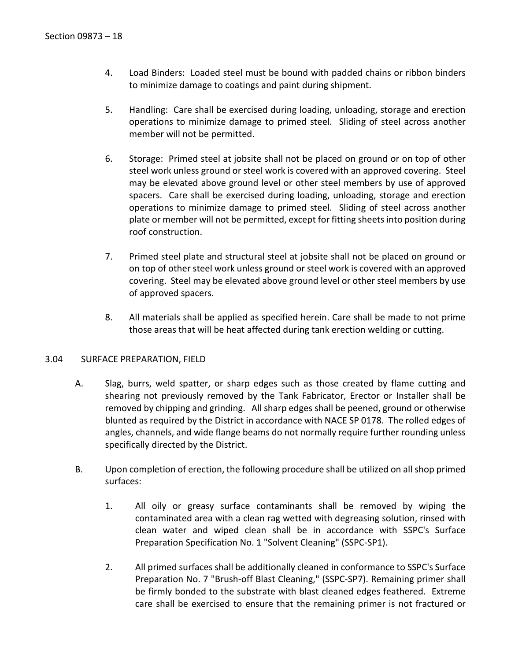- 4. Load Binders: Loaded steel must be bound with padded chains or ribbon binders to minimize damage to coatings and paint during shipment.
- 5. Handling: Care shall be exercised during loading, unloading, storage and erection operations to minimize damage to primed steel. Sliding of steel across another member will not be permitted.
- 6. Storage: Primed steel at jobsite shall not be placed on ground or on top of other steel work unless ground or steel work is covered with an approved covering. Steel may be elevated above ground level or other steel members by use of approved spacers. Care shall be exercised during loading, unloading, storage and erection operations to minimize damage to primed steel. Sliding of steel across another plate or member will not be permitted, except for fitting sheets into position during roof construction.
- 7. Primed steel plate and structural steel at jobsite shall not be placed on ground or on top of other steel work unless ground or steel work is covered with an approved covering. Steel may be elevated above ground level or other steel members by use of approved spacers.
- 8. All materials shall be applied as specified herein. Care shall be made to not prime those areas that will be heat affected during tank erection welding or cutting.

## <span id="page-19-0"></span>3.04 SURFACE PREPARATION, FIELD

- A. Slag, burrs, weld spatter, or sharp edges such as those created by flame cutting and shearing not previously removed by the Tank Fabricator, Erector or Installer shall be removed by chipping and grinding. All sharp edges shall be peened, ground or otherwise blunted as required by the District in accordance with NACE SP 0178. The rolled edges of angles, channels, and wide flange beams do not normally require further rounding unless specifically directed by the District.
- B. Upon completion of erection, the following procedure shall be utilized on all shop primed surfaces:
	- 1. All oily or greasy surface contaminants shall be removed by wiping the contaminated area with a clean rag wetted with degreasing solution, rinsed with clean water and wiped clean shall be in accordance with SSPC's Surface Preparation Specification No. 1 "Solvent Cleaning" (SSPC-SP1).
	- 2. All primed surfaces shall be additionally cleaned in conformance to SSPC's Surface Preparation No. 7 "Brush-off Blast Cleaning," (SSPC-SP7). Remaining primer shall be firmly bonded to the substrate with blast cleaned edges feathered. Extreme care shall be exercised to ensure that the remaining primer is not fractured or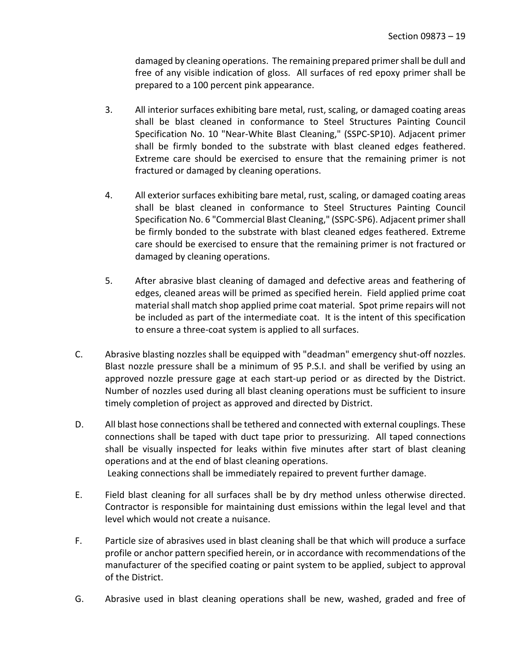damaged by cleaning operations. The remaining prepared primer shall be dull and free of any visible indication of gloss. All surfaces of red epoxy primer shall be prepared to a 100 percent pink appearance.

- 3. All interior surfaces exhibiting bare metal, rust, scaling, or damaged coating areas shall be blast cleaned in conformance to Steel Structures Painting Council Specification No. 10 "Near-White Blast Cleaning," (SSPC-SP10). Adjacent primer shall be firmly bonded to the substrate with blast cleaned edges feathered. Extreme care should be exercised to ensure that the remaining primer is not fractured or damaged by cleaning operations.
- 4. All exterior surfaces exhibiting bare metal, rust, scaling, or damaged coating areas shall be blast cleaned in conformance to Steel Structures Painting Council Specification No. 6 "Commercial Blast Cleaning," (SSPC-SP6). Adjacent primer shall be firmly bonded to the substrate with blast cleaned edges feathered. Extreme care should be exercised to ensure that the remaining primer is not fractured or damaged by cleaning operations.
- 5. After abrasive blast cleaning of damaged and defective areas and feathering of edges, cleaned areas will be primed as specified herein. Field applied prime coat material shall match shop applied prime coat material. Spot prime repairs will not be included as part of the intermediate coat. It is the intent of this specification to ensure a three-coat system is applied to all surfaces.
- C. Abrasive blasting nozzles shall be equipped with "deadman" emergency shut-off nozzles. Blast nozzle pressure shall be a minimum of 95 P.S.I. and shall be verified by using an approved nozzle pressure gage at each start-up period or as directed by the District. Number of nozzles used during all blast cleaning operations must be sufficient to insure timely completion of project as approved and directed by District.
- D. All blast hose connections shall be tethered and connected with external couplings. These connections shall be taped with duct tape prior to pressurizing. All taped connections shall be visually inspected for leaks within five minutes after start of blast cleaning operations and at the end of blast cleaning operations. Leaking connections shall be immediately repaired to prevent further damage.
- E. Field blast cleaning for all surfaces shall be by dry method unless otherwise directed. Contractor is responsible for maintaining dust emissions within the legal level and that level which would not create a nuisance.
- F. Particle size of abrasives used in blast cleaning shall be that which will produce a surface profile or anchor pattern specified herein, or in accordance with recommendations of the manufacturer of the specified coating or paint system to be applied, subject to approval of the District.
- G. Abrasive used in blast cleaning operations shall be new, washed, graded and free of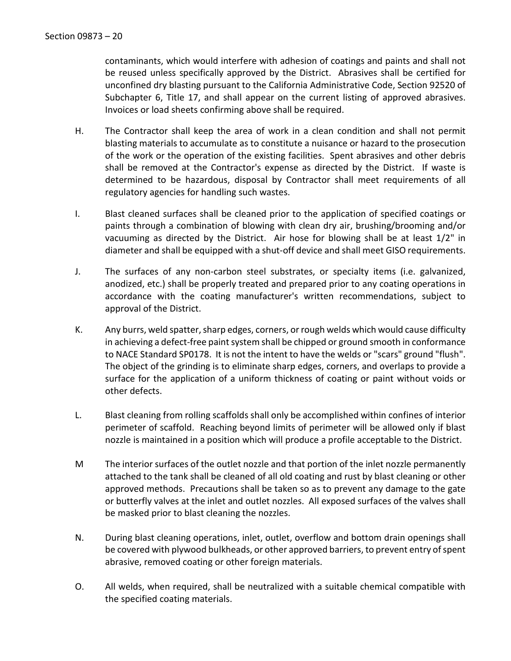contaminants, which would interfere with adhesion of coatings and paints and shall not be reused unless specifically approved by the District. Abrasives shall be certified for unconfined dry blasting pursuant to the California Administrative Code, Section 92520 of Subchapter 6, Title 17, and shall appear on the current listing of approved abrasives. Invoices or load sheets confirming above shall be required.

- H. The Contractor shall keep the area of work in a clean condition and shall not permit blasting materials to accumulate as to constitute a nuisance or hazard to the prosecution of the work or the operation of the existing facilities. Spent abrasives and other debris shall be removed at the Contractor's expense as directed by the District. If waste is determined to be hazardous, disposal by Contractor shall meet requirements of all regulatory agencies for handling such wastes.
- I. Blast cleaned surfaces shall be cleaned prior to the application of specified coatings or paints through a combination of blowing with clean dry air, brushing/brooming and/or vacuuming as directed by the District. Air hose for blowing shall be at least 1/2" in diameter and shall be equipped with a shut-off device and shall meet GISO requirements.
- J. The surfaces of any non-carbon steel substrates, or specialty items (i.e. galvanized, anodized, etc.) shall be properly treated and prepared prior to any coating operations in accordance with the coating manufacturer's written recommendations, subject to approval of the District.
- K. Any burrs, weld spatter, sharp edges, corners, or rough welds which would cause difficulty in achieving a defect-free paint system shall be chipped or ground smooth in conformance to NACE Standard SP0178. It is not the intent to have the welds or "scars" ground "flush". The object of the grinding is to eliminate sharp edges, corners, and overlaps to provide a surface for the application of a uniform thickness of coating or paint without voids or other defects.
- L. Blast cleaning from rolling scaffolds shall only be accomplished within confines of interior perimeter of scaffold. Reaching beyond limits of perimeter will be allowed only if blast nozzle is maintained in a position which will produce a profile acceptable to the District.
- M The interior surfaces of the outlet nozzle and that portion of the inlet nozzle permanently attached to the tank shall be cleaned of all old coating and rust by blast cleaning or other approved methods. Precautions shall be taken so as to prevent any damage to the gate or butterfly valves at the inlet and outlet nozzles. All exposed surfaces of the valves shall be masked prior to blast cleaning the nozzles.
- N. During blast cleaning operations, inlet, outlet, overflow and bottom drain openings shall be covered with plywood bulkheads, or other approved barriers, to prevent entry of spent abrasive, removed coating or other foreign materials.
- O. All welds, when required, shall be neutralized with a suitable chemical compatible with the specified coating materials.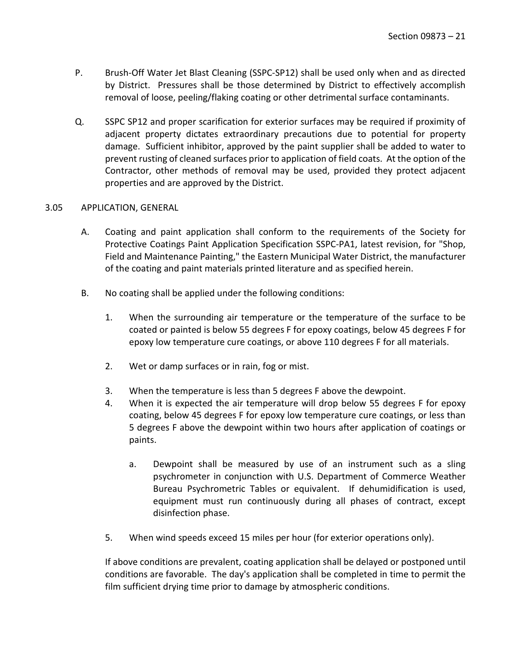- P. Brush-Off Water Jet Blast Cleaning (SSPC-SP12) shall be used only when and as directed by District. Pressures shall be those determined by District to effectively accomplish removal of loose, peeling/flaking coating or other detrimental surface contaminants.
- Q. SSPC SP12 and proper scarification for exterior surfaces may be required if proximity of adjacent property dictates extraordinary precautions due to potential for property damage. Sufficient inhibitor, approved by the paint supplier shall be added to water to prevent rusting of cleaned surfaces prior to application of field coats. At the option of the Contractor, other methods of removal may be used, provided they protect adjacent properties and are approved by the District.

#### <span id="page-22-0"></span>3.05 APPLICATION, GENERAL

- A. Coating and paint application shall conform to the requirements of the Society for Protective Coatings Paint Application Specification SSPC-PA1, latest revision, for "Shop, Field and Maintenance Painting," the Eastern Municipal Water District, the manufacturer of the coating and paint materials printed literature and as specified herein.
- B. No coating shall be applied under the following conditions:
	- 1. When the surrounding air temperature or the temperature of the surface to be coated or painted is below 55 degrees F for epoxy coatings, below 45 degrees F for epoxy low temperature cure coatings, or above 110 degrees F for all materials.
	- 2. Wet or damp surfaces or in rain, fog or mist.
	- 3. When the temperature is less than 5 degrees F above the dewpoint.
	- 4. When it is expected the air temperature will drop below 55 degrees F for epoxy coating, below 45 degrees F for epoxy low temperature cure coatings, or less than 5 degrees F above the dewpoint within two hours after application of coatings or paints.
		- a. Dewpoint shall be measured by use of an instrument such as a sling psychrometer in conjunction with U.S. Department of Commerce Weather Bureau Psychrometric Tables or equivalent. If dehumidification is used, equipment must run continuously during all phases of contract, except disinfection phase.
	- 5. When wind speeds exceed 15 miles per hour (for exterior operations only).

If above conditions are prevalent, coating application shall be delayed or postponed until conditions are favorable. The day's application shall be completed in time to permit the film sufficient drying time prior to damage by atmospheric conditions.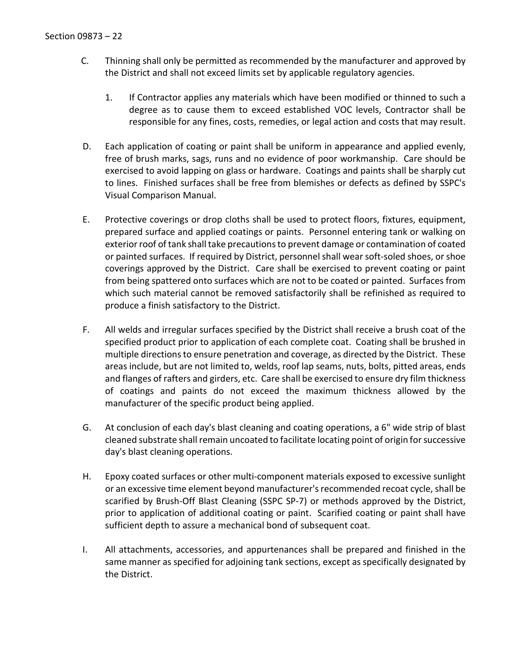- C. Thinning shall only be permitted as recommended by the manufacturer and approved by the District and shall not exceed limits set by applicable regulatory agencies.
	- 1. If Contractor applies any materials which have been modified or thinned to such a degree as to cause them to exceed established VOC levels, Contractor shall be responsible for any fines, costs, remedies, or legal action and costs that may result.
- D. Each application of coating or paint shall be uniform in appearance and applied evenly, free of brush marks, sags, runs and no evidence of poor workmanship. Care should be exercised to avoid lapping on glass or hardware. Coatings and paints shall be sharply cut to lines. Finished surfaces shall be free from blemishes or defects as defined by SSPC's Visual Comparison Manual.
- E. Protective coverings or drop cloths shall be used to protect floors, fixtures, equipment, prepared surface and applied coatings or paints. Personnel entering tank or walking on exterior roof of tank shall take precautions to prevent damage or contamination of coated or painted surfaces. If required by District, personnel shall wear soft-soled shoes, or shoe coverings approved by the District. Care shall be exercised to prevent coating or paint from being spattered onto surfaces which are not to be coated or painted. Surfaces from which such material cannot be removed satisfactorily shall be refinished as required to produce a finish satisfactory to the District.
- F. All welds and irregular surfaces specified by the District shall receive a brush coat of the specified product prior to application of each complete coat. Coating shall be brushed in multiple directions to ensure penetration and coverage, as directed by the District. These areas include, but are not limited to, welds, roof lap seams, nuts, bolts, pitted areas, ends and flanges of rafters and girders, etc. Care shall be exercised to ensure dry film thickness of coatings and paints do not exceed the maximum thickness allowed by the manufacturer of the specific product being applied.
- G. At conclusion of each day's blast cleaning and coating operations, a 6" wide strip of blast cleaned substrate shall remain uncoated to facilitate locating point of origin for successive day's blast cleaning operations.
- H. Epoxy coated surfaces or other multi-component materials exposed to excessive sunlight or an excessive time element beyond manufacturer's recommended recoat cycle, shall be scarified by Brush-Off Blast Cleaning (SSPC SP-7) or methods approved by the District, prior to application of additional coating or paint. Scarified coating or paint shall have sufficient depth to assure a mechanical bond of subsequent coat.
- I. All attachments, accessories, and appurtenances shall be prepared and finished in the same manner as specified for adjoining tank sections, except as specifically designated by the District.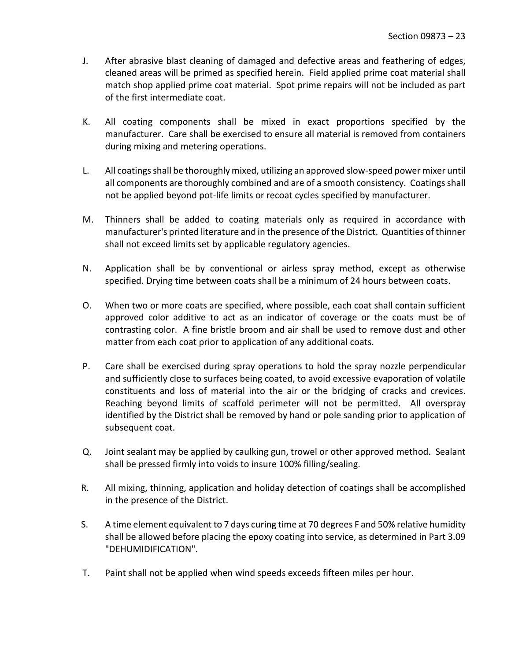- J. After abrasive blast cleaning of damaged and defective areas and feathering of edges, cleaned areas will be primed as specified herein. Field applied prime coat material shall match shop applied prime coat material. Spot prime repairs will not be included as part of the first intermediate coat.
- K. All coating components shall be mixed in exact proportions specified by the manufacturer. Care shall be exercised to ensure all material is removed from containers during mixing and metering operations.
- L. All coatings shall be thoroughly mixed, utilizing an approved slow-speed power mixer until all components are thoroughly combined and are of a smooth consistency. Coatings shall not be applied beyond pot-life limits or recoat cycles specified by manufacturer.
- M. Thinners shall be added to coating materials only as required in accordance with manufacturer's printed literature and in the presence of the District. Quantities of thinner shall not exceed limits set by applicable regulatory agencies.
- N. Application shall be by conventional or airless spray method, except as otherwise specified. Drying time between coats shall be a minimum of 24 hours between coats.
- O. When two or more coats are specified, where possible, each coat shall contain sufficient approved color additive to act as an indicator of coverage or the coats must be of contrasting color. A fine bristle broom and air shall be used to remove dust and other matter from each coat prior to application of any additional coats.
- P. Care shall be exercised during spray operations to hold the spray nozzle perpendicular and sufficiently close to surfaces being coated, to avoid excessive evaporation of volatile constituents and loss of material into the air or the bridging of cracks and crevices. Reaching beyond limits of scaffold perimeter will not be permitted. All overspray identified by the District shall be removed by hand or pole sanding prior to application of subsequent coat.
- Q. Joint sealant may be applied by caulking gun, trowel or other approved method. Sealant shall be pressed firmly into voids to insure 100% filling/sealing.
- R. All mixing, thinning, application and holiday detection of coatings shall be accomplished in the presence of the District.
- S. A time element equivalent to 7 days curing time at 70 degrees F and 50% relative humidity shall be allowed before placing the epoxy coating into service, as determined in Part 3.09 "DEHUMIDIFICATION".
- T. Paint shall not be applied when wind speeds exceeds fifteen miles per hour.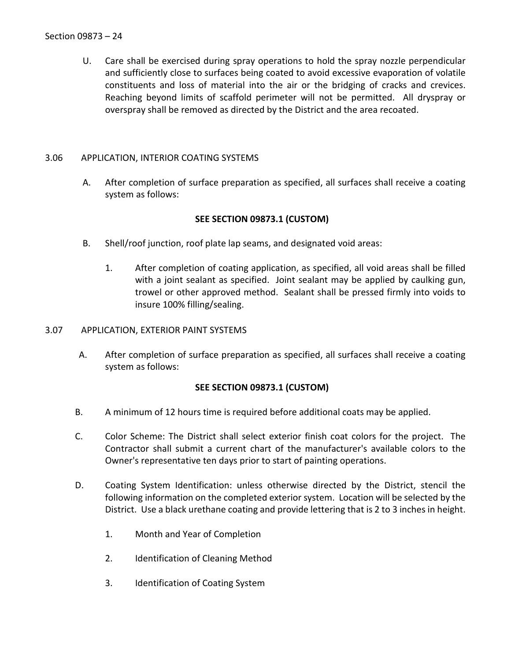U. Care shall be exercised during spray operations to hold the spray nozzle perpendicular and sufficiently close to surfaces being coated to avoid excessive evaporation of volatile constituents and loss of material into the air or the bridging of cracks and crevices. Reaching beyond limits of scaffold perimeter will not be permitted. All dryspray or overspray shall be removed as directed by the District and the area recoated.

## <span id="page-25-0"></span>3.06 APPLICATION, INTERIOR COATING SYSTEMS

A. After completion of surface preparation as specified, all surfaces shall receive a coating system as follows:

## **SEE SECTION 09873.1 (CUSTOM)**

- B. Shell/roof junction, roof plate lap seams, and designated void areas:
	- 1. After completion of coating application, as specified, all void areas shall be filled with a joint sealant as specified. Joint sealant may be applied by caulking gun, trowel or other approved method. Sealant shall be pressed firmly into voids to insure 100% filling/sealing.

### <span id="page-25-1"></span>3.07 APPLICATION, EXTERIOR PAINT SYSTEMS

A. After completion of surface preparation as specified, all surfaces shall receive a coating system as follows:

## **SEE SECTION 09873.1 (CUSTOM)**

- B. A minimum of 12 hours time is required before additional coats may be applied.
- C. Color Scheme: The District shall select exterior finish coat colors for the project. The Contractor shall submit a current chart of the manufacturer's available colors to the Owner's representative ten days prior to start of painting operations.
- D. Coating System Identification: unless otherwise directed by the District, stencil the following information on the completed exterior system. Location will be selected by the District. Use a black urethane coating and provide lettering that is 2 to 3 inches in height.
	- 1. Month and Year of Completion
	- 2. Identification of Cleaning Method
	- 3. Identification of Coating System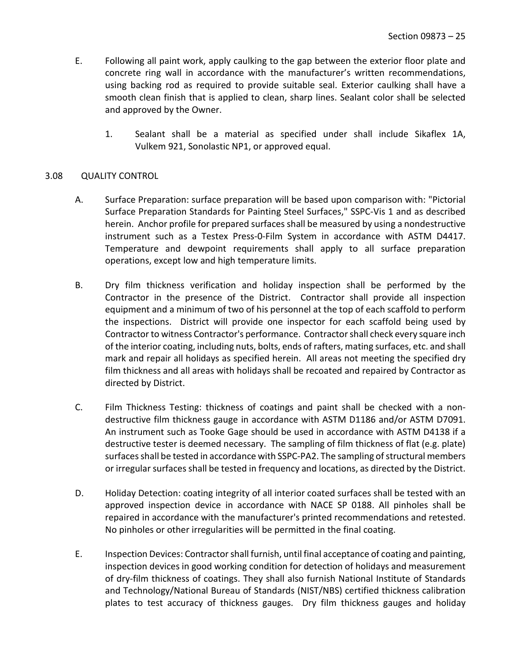- E. Following all paint work, apply caulking to the gap between the exterior floor plate and concrete ring wall in accordance with the manufacturer's written recommendations, using backing rod as required to provide suitable seal. Exterior caulking shall have a smooth clean finish that is applied to clean, sharp lines. Sealant color shall be selected and approved by the Owner.
	- 1. Sealant shall be a material as specified under shall include Sikaflex 1A, Vulkem 921, Sonolastic NP1, or approved equal.

#### <span id="page-26-0"></span>3.08 QUALITY CONTROL

- A. Surface Preparation: surface preparation will be based upon comparison with: "Pictorial Surface Preparation Standards for Painting Steel Surfaces," SSPC-Vis 1 and as described herein. Anchor profile for prepared surfaces shall be measured by using a nondestructive instrument such as a Testex Press-0-Film System in accordance with ASTM D4417. Temperature and dewpoint requirements shall apply to all surface preparation operations, except low and high temperature limits.
- B. Dry film thickness verification and holiday inspection shall be performed by the Contractor in the presence of the District. Contractor shall provide all inspection equipment and a minimum of two of his personnel at the top of each scaffold to perform the inspections. District will provide one inspector for each scaffold being used by Contractor to witness Contractor's performance. Contractor shall check every square inch of the interior coating, including nuts, bolts, ends of rafters, mating surfaces, etc. and shall mark and repair all holidays as specified herein. All areas not meeting the specified dry film thickness and all areas with holidays shall be recoated and repaired by Contractor as directed by District.
- C. Film Thickness Testing: thickness of coatings and paint shall be checked with a nondestructive film thickness gauge in accordance with ASTM D1186 and/or ASTM D7091. An instrument such as Tooke Gage should be used in accordance with ASTM D4138 if a destructive tester is deemed necessary. The sampling of film thickness of flat (e.g. plate) surfaces shall be tested in accordance with SSPC-PA2. The sampling of structural members or irregular surfaces shall be tested in frequency and locations, as directed by the District.
- D. Holiday Detection: coating integrity of all interior coated surfaces shall be tested with an approved inspection device in accordance with NACE SP 0188. All pinholes shall be repaired in accordance with the manufacturer's printed recommendations and retested. No pinholes or other irregularities will be permitted in the final coating.
- E. Inspection Devices: Contractor shall furnish, until final acceptance of coating and painting, inspection devices in good working condition for detection of holidays and measurement of dry-film thickness of coatings. They shall also furnish National Institute of Standards and Technology/National Bureau of Standards (NIST/NBS) certified thickness calibration plates to test accuracy of thickness gauges. Dry film thickness gauges and holiday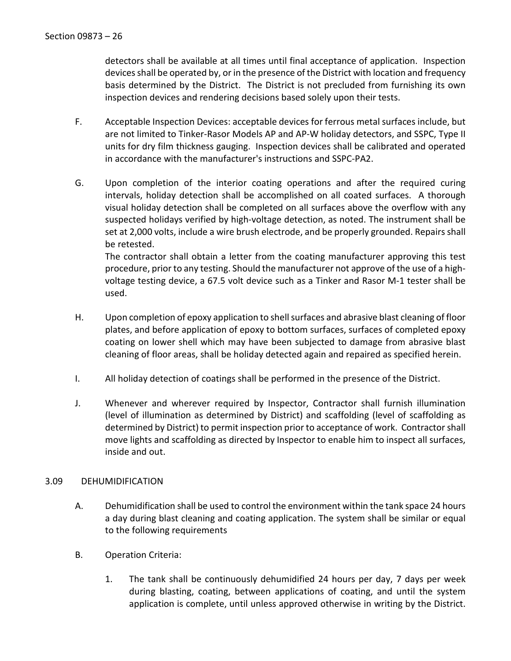detectors shall be available at all times until final acceptance of application. Inspection devices shall be operated by, or in the presence of the District with location and frequency basis determined by the District. The District is not precluded from furnishing its own inspection devices and rendering decisions based solely upon their tests.

- F. Acceptable Inspection Devices: acceptable devices for ferrous metal surfaces include, but are not limited to Tinker-Rasor Models AP and AP-W holiday detectors, and SSPC, Type II units for dry film thickness gauging. Inspection devices shall be calibrated and operated in accordance with the manufacturer's instructions and SSPC-PA2.
- G. Upon completion of the interior coating operations and after the required curing intervals, holiday detection shall be accomplished on all coated surfaces. A thorough visual holiday detection shall be completed on all surfaces above the overflow with any suspected holidays verified by high-voltage detection, as noted. The instrument shall be set at 2,000 volts, include a wire brush electrode, and be properly grounded. Repairs shall be retested.

The contractor shall obtain a letter from the coating manufacturer approving this test procedure, prior to any testing. Should the manufacturer not approve of the use of a highvoltage testing device, a 67.5 volt device such as a Tinker and Rasor M-1 tester shall be used.

- H. Upon completion of epoxy application to shell surfaces and abrasive blast cleaning of floor plates, and before application of epoxy to bottom surfaces, surfaces of completed epoxy coating on lower shell which may have been subjected to damage from abrasive blast cleaning of floor areas, shall be holiday detected again and repaired as specified herein.
- I. All holiday detection of coatings shall be performed in the presence of the District.
- J. Whenever and wherever required by Inspector, Contractor shall furnish illumination (level of illumination as determined by District) and scaffolding (level of scaffolding as determined by District) to permit inspection prior to acceptance of work. Contractor shall move lights and scaffolding as directed by Inspector to enable him to inspect all surfaces, inside and out.

## <span id="page-27-0"></span>3.09 DEHUMIDIFICATION

- A. Dehumidification shall be used to control the environment within the tank space 24 hours a day during blast cleaning and coating application. The system shall be similar or equal to the following requirements
- B. Operation Criteria:
	- 1. The tank shall be continuously dehumidified 24 hours per day, 7 days per week during blasting, coating, between applications of coating, and until the system application is complete, until unless approved otherwise in writing by the District.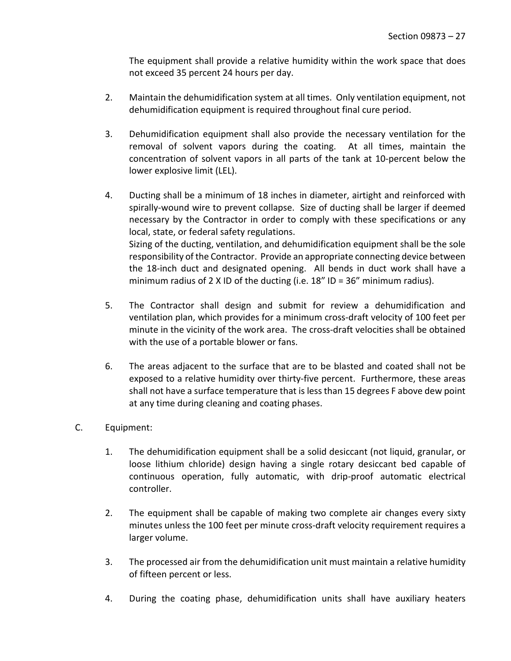The equipment shall provide a relative humidity within the work space that does not exceed 35 percent 24 hours per day.

- 2. Maintain the dehumidification system at all times. Only ventilation equipment, not dehumidification equipment is required throughout final cure period.
- 3. Dehumidification equipment shall also provide the necessary ventilation for the removal of solvent vapors during the coating. At all times, maintain the concentration of solvent vapors in all parts of the tank at 10-percent below the lower explosive limit (LEL).
- 4. Ducting shall be a minimum of 18 inches in diameter, airtight and reinforced with spirally-wound wire to prevent collapse. Size of ducting shall be larger if deemed necessary by the Contractor in order to comply with these specifications or any local, state, or federal safety regulations. Sizing of the ducting, ventilation, and dehumidification equipment shall be the sole responsibility of the Contractor. Provide an appropriate connecting device between the 18-inch duct and designated opening. All bends in duct work shall have a minimum radius of 2 X ID of the ducting (i.e.  $18''$  ID =  $36''$  minimum radius).
- 5. The Contractor shall design and submit for review a dehumidification and ventilation plan, which provides for a minimum cross-draft velocity of 100 feet per minute in the vicinity of the work area. The cross-draft velocities shall be obtained with the use of a portable blower or fans.
- 6. The areas adjacent to the surface that are to be blasted and coated shall not be exposed to a relative humidity over thirty-five percent. Furthermore, these areas shall not have a surface temperature that is less than 15 degrees F above dew point at any time during cleaning and coating phases.
- C. Equipment:
	- 1. The dehumidification equipment shall be a solid desiccant (not liquid, granular, or loose lithium chloride) design having a single rotary desiccant bed capable of continuous operation, fully automatic, with drip-proof automatic electrical controller.
	- 2. The equipment shall be capable of making two complete air changes every sixty minutes unless the 100 feet per minute cross-draft velocity requirement requires a larger volume.
	- 3. The processed air from the dehumidification unit must maintain a relative humidity of fifteen percent or less.
	- 4. During the coating phase, dehumidification units shall have auxiliary heaters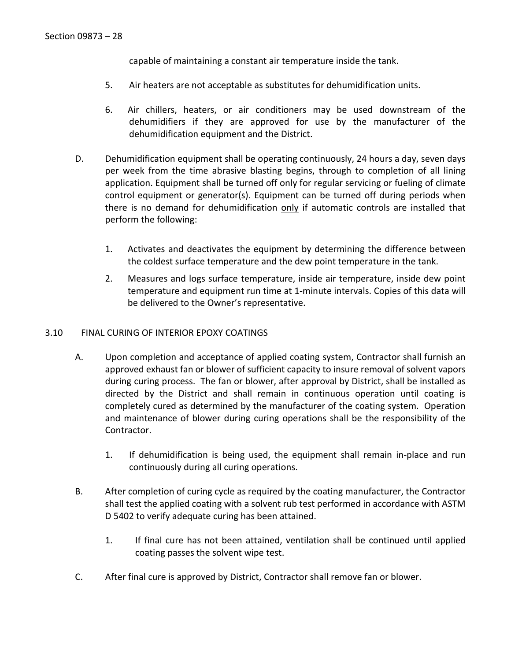capable of maintaining a constant air temperature inside the tank.

- 5. Air heaters are not acceptable as substitutes for dehumidification units.
- 6. Air chillers, heaters, or air conditioners may be used downstream of the dehumidifiers if they are approved for use by the manufacturer of the dehumidification equipment and the District.
- D. Dehumidification equipment shall be operating continuously, 24 hours a day, seven days per week from the time abrasive blasting begins, through to completion of all lining application. Equipment shall be turned off only for regular servicing or fueling of climate control equipment or generator(s). Equipment can be turned off during periods when there is no demand for dehumidification only if automatic controls are installed that perform the following:
	- 1. Activates and deactivates the equipment by determining the difference between the coldest surface temperature and the dew point temperature in the tank.
	- 2. Measures and logs surface temperature, inside air temperature, inside dew point temperature and equipment run time at 1-minute intervals. Copies of this data will be delivered to the Owner's representative.

## <span id="page-29-0"></span>3.10 FINAL CURING OF INTERIOR EPOXY COATINGS

- A. Upon completion and acceptance of applied coating system, Contractor shall furnish an approved exhaust fan or blower of sufficient capacity to insure removal of solvent vapors during curing process. The fan or blower, after approval by District, shall be installed as directed by the District and shall remain in continuous operation until coating is completely cured as determined by the manufacturer of the coating system. Operation and maintenance of blower during curing operations shall be the responsibility of the Contractor.
	- 1. If dehumidification is being used, the equipment shall remain in-place and run continuously during all curing operations.
- B. After completion of curing cycle as required by the coating manufacturer, the Contractor shall test the applied coating with a solvent rub test performed in accordance with ASTM D 5402 to verify adequate curing has been attained.
	- 1. If final cure has not been attained, ventilation shall be continued until applied coating passes the solvent wipe test.
- C. After final cure is approved by District, Contractor shall remove fan or blower.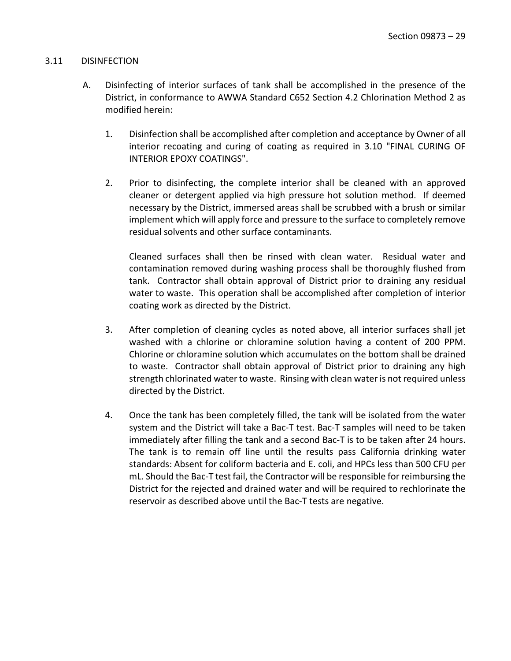#### <span id="page-30-0"></span>3.11 DISINFECTION

- A. Disinfecting of interior surfaces of tank shall be accomplished in the presence of the District, in conformance to AWWA Standard C652 Section 4.2 Chlorination Method 2 as modified herein:
	- 1. Disinfection shall be accomplished after completion and acceptance by Owner of all interior recoating and curing of coating as required in 3.10 "FINAL CURING OF INTERIOR EPOXY COATINGS".
	- 2. Prior to disinfecting, the complete interior shall be cleaned with an approved cleaner or detergent applied via high pressure hot solution method. If deemed necessary by the District, immersed areas shall be scrubbed with a brush or similar implement which will apply force and pressure to the surface to completely remove residual solvents and other surface contaminants.

Cleaned surfaces shall then be rinsed with clean water. Residual water and contamination removed during washing process shall be thoroughly flushed from tank. Contractor shall obtain approval of District prior to draining any residual water to waste. This operation shall be accomplished after completion of interior coating work as directed by the District.

- 3. After completion of cleaning cycles as noted above, all interior surfaces shall jet washed with a chlorine or chloramine solution having a content of 200 PPM. Chlorine or chloramine solution which accumulates on the bottom shall be drained to waste. Contractor shall obtain approval of District prior to draining any high strength chlorinated water to waste. Rinsing with clean water is not required unless directed by the District.
- 4. Once the tank has been completely filled, the tank will be isolated from the water system and the District will take a Bac-T test. Bac-T samples will need to be taken immediately after filling the tank and a second Bac-T is to be taken after 24 hours. The tank is to remain off line until the results pass California drinking water standards: Absent for coliform bacteria and E. coli, and HPCs less than 500 CFU per mL. Should the Bac-T test fail, the Contractor will be responsible for reimbursing the District for the rejected and drained water and will be required to rechlorinate the reservoir as described above until the Bac-T tests are negative.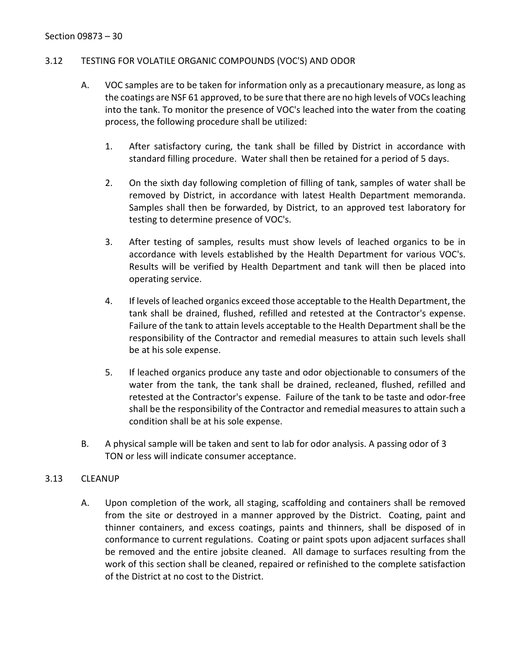## <span id="page-31-0"></span>3.12 TESTING FOR VOLATILE ORGANIC COMPOUNDS (VOC'S) AND ODOR

- A. VOC samples are to be taken for information only as a precautionary measure, as long as the coatings are NSF 61 approved, to be sure that there are no high levels of VOCs leaching into the tank. To monitor the presence of VOC's leached into the water from the coating process, the following procedure shall be utilized:
	- 1. After satisfactory curing, the tank shall be filled by District in accordance with standard filling procedure. Water shall then be retained for a period of 5 days.
	- 2. On the sixth day following completion of filling of tank, samples of water shall be removed by District, in accordance with latest Health Department memoranda. Samples shall then be forwarded, by District, to an approved test laboratory for testing to determine presence of VOC's.
	- 3. After testing of samples, results must show levels of leached organics to be in accordance with levels established by the Health Department for various VOC's. Results will be verified by Health Department and tank will then be placed into operating service.
	- 4. If levels of leached organics exceed those acceptable to the Health Department, the tank shall be drained, flushed, refilled and retested at the Contractor's expense. Failure of the tank to attain levels acceptable to the Health Department shall be the responsibility of the Contractor and remedial measures to attain such levels shall be at his sole expense.
	- 5. If leached organics produce any taste and odor objectionable to consumers of the water from the tank, the tank shall be drained, recleaned, flushed, refilled and retested at the Contractor's expense. Failure of the tank to be taste and odor-free shall be the responsibility of the Contractor and remedial measures to attain such a condition shall be at his sole expense.
- B. A physical sample will be taken and sent to lab for odor analysis. A passing odor of 3 TON or less will indicate consumer acceptance.

## <span id="page-31-1"></span>3.13 CLEANUP

A. Upon completion of the work, all staging, scaffolding and containers shall be removed from the site or destroyed in a manner approved by the District. Coating, paint and thinner containers, and excess coatings, paints and thinners, shall be disposed of in conformance to current regulations. Coating or paint spots upon adjacent surfaces shall be removed and the entire jobsite cleaned. All damage to surfaces resulting from the work of this section shall be cleaned, repaired or refinished to the complete satisfaction of the District at no cost to the District.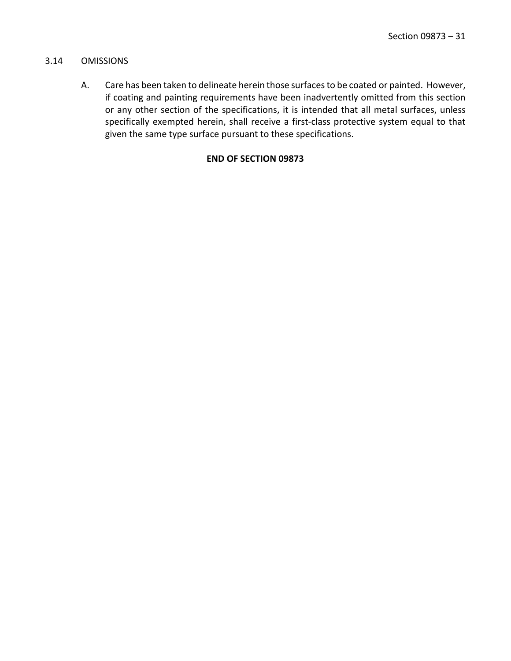### <span id="page-32-0"></span>3.14 OMISSIONS

A. Care has been taken to delineate herein those surfaces to be coated or painted. However, if coating and painting requirements have been inadvertently omitted from this section or any other section of the specifications, it is intended that all metal surfaces, unless specifically exempted herein, shall receive a first-class protective system equal to that given the same type surface pursuant to these specifications.

## **END OF SECTION 09873**